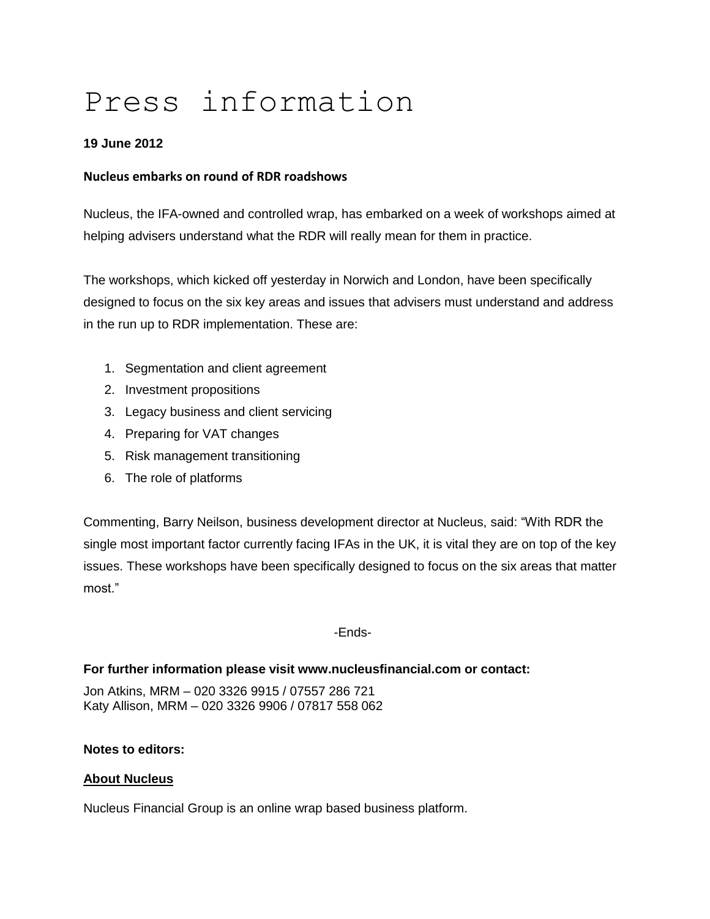# Press information

## **19 June 2012**

### **Nucleus embarks on round of RDR roadshows**

Nucleus, the IFA-owned and controlled wrap, has embarked on a week of workshops aimed at helping advisers understand what the RDR will really mean for them in practice.

The workshops, which kicked off yesterday in Norwich and London, have been specifically designed to focus on the six key areas and issues that advisers must understand and address in the run up to RDR implementation. These are:

- 1. Segmentation and client agreement
- 2. Investment propositions
- 3. Legacy business and client servicing
- 4. Preparing for VAT changes
- 5. Risk management transitioning
- 6. The role of platforms

Commenting, Barry Neilson, business development director at Nucleus, said: "With RDR the single most important factor currently facing IFAs in the UK, it is vital they are on top of the key issues. These workshops have been specifically designed to focus on the six areas that matter most."

-Ends-

#### **For further information please visit www.nucleusfinancial.com or contact:**

Jon Atkins, MRM – 020 3326 9915 / 07557 286 721 Katy Allison, MRM – 020 3326 9906 / 07817 558 062

#### **Notes to editors:**

#### **About Nucleus**

Nucleus Financial Group is an online wrap based business platform.